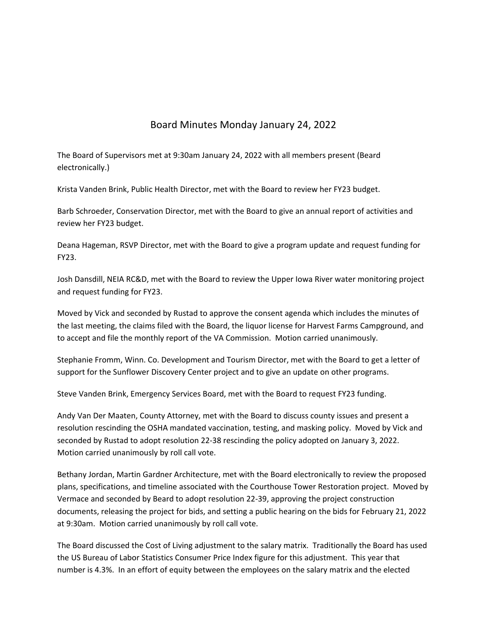## Board Minutes Monday January 24, 2022

The Board of Supervisors met at 9:30am January 24, 2022 with all members present (Beard electronically.)

Krista Vanden Brink, Public Health Director, met with the Board to review her FY23 budget.

Barb Schroeder, Conservation Director, met with the Board to give an annual report of activities and review her FY23 budget.

Deana Hageman, RSVP Director, met with the Board to give a program update and request funding for FY23.

Josh Dansdill, NEIA RC&D, met with the Board to review the Upper Iowa River water monitoring project and request funding for FY23.

Moved by Vick and seconded by Rustad to approve the consent agenda which includes the minutes of the last meeting, the claims filed with the Board, the liquor license for Harvest Farms Campground, and to accept and file the monthly report of the VA Commission. Motion carried unanimously.

Stephanie Fromm, Winn. Co. Development and Tourism Director, met with the Board to get a letter of support for the Sunflower Discovery Center project and to give an update on other programs.

Steve Vanden Brink, Emergency Services Board, met with the Board to request FY23 funding.

Andy Van Der Maaten, County Attorney, met with the Board to discuss county issues and present a resolution rescinding the OSHA mandated vaccination, testing, and masking policy. Moved by Vick and seconded by Rustad to adopt resolution 22‐38 rescinding the policy adopted on January 3, 2022. Motion carried unanimously by roll call vote.

Bethany Jordan, Martin Gardner Architecture, met with the Board electronically to review the proposed plans, specifications, and timeline associated with the Courthouse Tower Restoration project. Moved by Vermace and seconded by Beard to adopt resolution 22‐39, approving the project construction documents, releasing the project for bids, and setting a public hearing on the bids for February 21, 2022 at 9:30am. Motion carried unanimously by roll call vote.

The Board discussed the Cost of Living adjustment to the salary matrix. Traditionally the Board has used the US Bureau of Labor Statistics Consumer Price Index figure for this adjustment. This year that number is 4.3%. In an effort of equity between the employees on the salary matrix and the elected